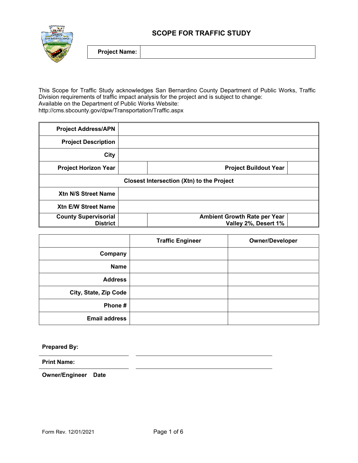



This Scope for Traffic Study acknowledges San Bernardino County Department of Public Works, Traffic Division requirements of traffic impact analysis for the project and is subject to change: Available on the Department of Public Works Website: http://cms.sbcounty.gov/dpw/Transportation/Traffic.aspx

| <b>Project Address/APN</b>  |                                                  |
|-----------------------------|--------------------------------------------------|
| <b>Project Description</b>  |                                                  |
| City                        |                                                  |
| <b>Project Horizon Year</b> | <b>Project Buildout Year</b>                     |
|                             | <b>Closest Intersection (Xtn) to the Project</b> |
| Xtn N/S Street Name         |                                                  |
| <b>Xtn E/W Street Name</b>  |                                                  |
| <b>County Supervisorial</b> | <b>Ambient Growth Rate per Year</b>              |
| <b>District</b>             | Valley 2%, Desert 1%                             |

|                       | <b>Traffic Engineer</b> | <b>Owner/Developer</b> |
|-----------------------|-------------------------|------------------------|
| Company               |                         |                        |
| <b>Name</b>           |                         |                        |
| <b>Address</b>        |                         |                        |
| City, State, Zip Code |                         |                        |
| Phone #               |                         |                        |
| <b>Email address</b>  |                         |                        |

**Prepared By:** 

**Print Name:** 

**Owner/Engineer Date**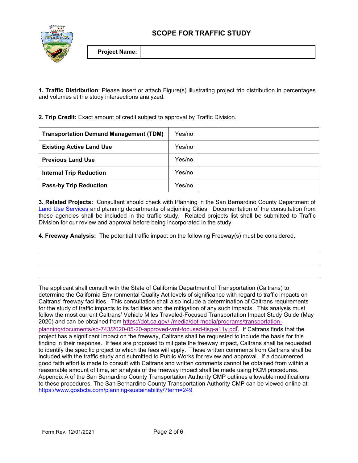



**1. Traffic Distribution**: Please insert or attach Figure(s) illustrating project trip distribution in percentages and volumes at the study intersections analyzed.

**2. Trip Credit:** Exact amount of credit subject to approval by Traffic Division.

| <b>Transportation Demand Management (TDM)</b> | Yes/no |  |
|-----------------------------------------------|--------|--|
| <b>Existing Active Land Use</b>               | Yes/no |  |
| <b>Previous Land Use</b>                      | Yes/no |  |
| <b>Internal Trip Reduction</b>                | Yes/no |  |
| <b>Pass-by Trip Reduction</b>                 | Yes/no |  |

**3. Related Projects:** Consultant should check with Planning in the San Bernardino County Department of Land Use Services and planning departments of adjoining Cities. Documentation of the consultation from these agencies shall be included in the traffic study. Related projects list shall be submitted to Traffic Division for our review and approval before being incorporated in the study.

**4. Freeway Analysis:** The potential traffic impact on the following Freeway(s) must be considered.

The applicant shall consult with the State of California Department of Transportation (Caltrans) to determine the California Environmental Quality Act levels of significance with regard to traffic impacts on Caltrans' freeway facilities. This consultation shall also include a determination of Caltrans requirements for the study of traffic impacts to its facilities and the mitigation of any such impacts. This analysis must follow the most current Caltrans' Vehicle Miles Traveled-Focused Transportation Impact Study Guide (May 2020) and can be obtained from https://dot.ca.gov/-/media/dot-media/programs/transportationplanning/documents/sb-743/2020-05-20-approved-vmt-focused-tisg-a11y.pdf. If Caltrans finds that the project has a significant impact on the freeway, Caltrans shall be requested to include the basis for this finding in their response. If fees are proposed to mitigate the freeway impact, Caltrans shall be requested to identify the specific project to which the fees will apply. These written comments from Caltrans shall be included with the traffic study and submitted to Public Works for review and approval. If a documented good faith effort is made to consult with Caltrans and written comments cannot be obtained from within a reasonable amount of time, an analysis of the freeway impact shall be made using HCM procedures. Appendix A of the San Bernardino County Transportation Authority CMP outlines allowable modifications to these procedures. The San Bernardino County Transportation Authority CMP can be viewed online at: https://www.gosbcta.com/planning-sustainability/?term=249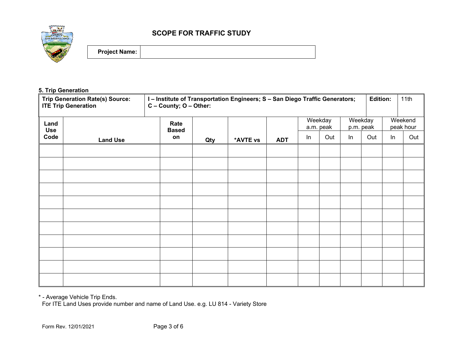

## **5. Trip Generation**

|                    | I-Institute of Transportation Engineers; S - San Diego Traffic Generators;<br><b>Trip Generation Rate(s) Source:</b><br>C - County; O - Other:<br><b>ITE Trip Generation</b> |                      |     |          | <b>Edition:</b> |                      | 11th |                      |     |                      |     |
|--------------------|------------------------------------------------------------------------------------------------------------------------------------------------------------------------------|----------------------|-----|----------|-----------------|----------------------|------|----------------------|-----|----------------------|-----|
| Land<br><b>Use</b> |                                                                                                                                                                              | Rate<br><b>Based</b> |     |          |                 | Weekday<br>a.m. peak |      | Weekday<br>p.m. peak |     | Weekend<br>peak hour |     |
| Code               | <b>Land Use</b>                                                                                                                                                              | on                   | Qty | *AVTE vs | <b>ADT</b>      | In                   | Out  | In                   | Out | ln                   | Out |
|                    |                                                                                                                                                                              |                      |     |          |                 |                      |      |                      |     |                      |     |
|                    |                                                                                                                                                                              |                      |     |          |                 |                      |      |                      |     |                      |     |
|                    |                                                                                                                                                                              |                      |     |          |                 |                      |      |                      |     |                      |     |
|                    |                                                                                                                                                                              |                      |     |          |                 |                      |      |                      |     |                      |     |
|                    |                                                                                                                                                                              |                      |     |          |                 |                      |      |                      |     |                      |     |
|                    |                                                                                                                                                                              |                      |     |          |                 |                      |      |                      |     |                      |     |
|                    |                                                                                                                                                                              |                      |     |          |                 |                      |      |                      |     |                      |     |
|                    |                                                                                                                                                                              |                      |     |          |                 |                      |      |                      |     |                      |     |
|                    |                                                                                                                                                                              |                      |     |          |                 |                      |      |                      |     |                      |     |
|                    |                                                                                                                                                                              |                      |     |          |                 |                      |      |                      |     |                      |     |

\* - Average Vehicle Trip Ends.

For ITE Land Uses provide number and name of Land Use. e.g. LU 814 - Variety Store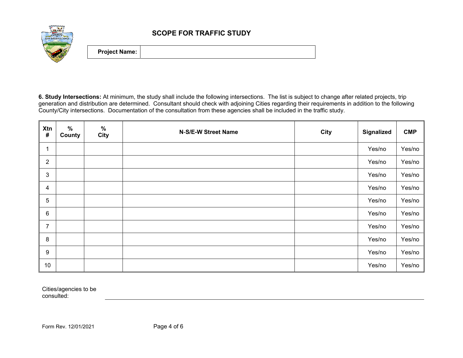

**6. Study Intersections:** At minimum, the study shall include the following intersections. The list is subject to change after related projects, trip generation and distribution are determined. Consultant should check with adjoining Cities regarding their requirements in addition to the following County/City intersections. Documentation of the consultation from these agencies shall be included in the traffic study.

| Xtn<br>$\pmb{\#}$ | $\%$<br>County | $\%$<br><b>City</b> | N-S/E-W Street Name | <b>City</b> | <b>Signalized</b> | <b>CMP</b> |
|-------------------|----------------|---------------------|---------------------|-------------|-------------------|------------|
| 1                 |                |                     |                     |             | Yes/no            | Yes/no     |
| $\overline{2}$    |                |                     |                     |             | Yes/no            | Yes/no     |
| $\mathbf{3}$      |                |                     |                     |             | Yes/no            | Yes/no     |
| $\overline{4}$    |                |                     |                     |             | Yes/no            | Yes/no     |
| $\overline{5}$    |                |                     |                     |             | Yes/no            | Yes/no     |
| $\,6$             |                |                     |                     |             | Yes/no            | Yes/no     |
| $\overline{7}$    |                |                     |                     |             | Yes/no            | Yes/no     |
| $\bf 8$           |                |                     |                     |             | Yes/no            | Yes/no     |
| $\boldsymbol{9}$  |                |                     |                     |             | Yes/no            | Yes/no     |
| 10                |                |                     |                     |             | Yes/no            | Yes/no     |

Cities/agencies to be consulted: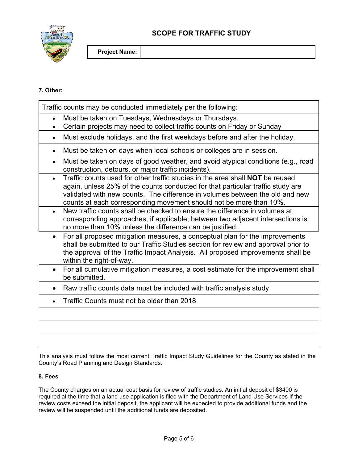

## **7. Other:**

|           | Traffic counts may be conducted immediately per the following:                                                                                                                                                                                                                                                                |
|-----------|-------------------------------------------------------------------------------------------------------------------------------------------------------------------------------------------------------------------------------------------------------------------------------------------------------------------------------|
|           | Must be taken on Tuesdays, Wednesdays or Thursdays.<br>Certain projects may need to collect traffic counts on Friday or Sunday                                                                                                                                                                                                |
| $\bullet$ | Must exclude holidays, and the first weekdays before and after the holiday.                                                                                                                                                                                                                                                   |
| $\bullet$ | Must be taken on days when local schools or colleges are in session.                                                                                                                                                                                                                                                          |
| $\bullet$ | Must be taken on days of good weather, and avoid atypical conditions (e.g., road<br>construction, detours, or major traffic incidents).                                                                                                                                                                                       |
| $\bullet$ | Traffic counts used for other traffic studies in the area shall <b>NOT</b> be reused<br>again, unless 25% of the counts conducted for that particular traffic study are<br>validated with new counts. The difference in volumes between the old and new<br>counts at each corresponding movement should not be more than 10%. |
| $\bullet$ | New traffic counts shall be checked to ensure the difference in volumes at<br>corresponding approaches, if applicable, between two adjacent intersections is<br>no more than 10% unless the difference can be justified.                                                                                                      |
| $\bullet$ | For all proposed mitigation measures, a conceptual plan for the improvements<br>shall be submitted to our Traffic Studies section for review and approval prior to<br>the approval of the Traffic Impact Analysis. All proposed improvements shall be<br>within the right-of-way.                                             |
| $\bullet$ | For all cumulative mitigation measures, a cost estimate for the improvement shall<br>be submitted.                                                                                                                                                                                                                            |
|           | Raw traffic counts data must be included with traffic analysis study                                                                                                                                                                                                                                                          |
|           | Traffic Counts must not be older than 2018                                                                                                                                                                                                                                                                                    |
|           |                                                                                                                                                                                                                                                                                                                               |
|           |                                                                                                                                                                                                                                                                                                                               |
|           |                                                                                                                                                                                                                                                                                                                               |

This analysis must follow the most current Traffic Impact Study Guidelines for the County as stated in the County's Road Planning and Design Standards.

## **8. Fees**

The County charges on an actual cost basis for review of traffic studies. An initial deposit of \$3400 is required at the time that a land use application is filed with the Department of Land Use Services If the review costs exceed the initial deposit, the applicant will be expected to provide additional funds and the review will be suspended until the additional funds are deposited.